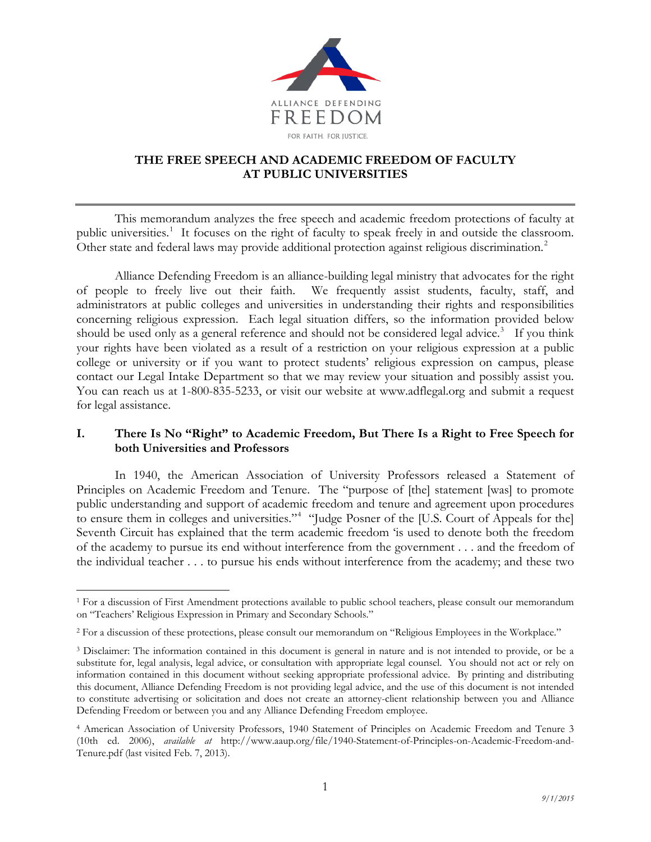

# **THE FREE SPEECH AND ACADEMIC FREEDOM OF FACULTY AT PUBLIC UNIVERSITIES**

This memorandum analyzes the free speech and academic freedom protections of faculty at public universities.<sup>[1](#page-0-0)</sup> It focuses on the right of faculty to speak freely in and outside the classroom. Other state and federal laws may provide additional protection against religious discrimination.<sup>[2](#page-0-1)</sup>

Alliance Defending Freedom is an alliance-building legal ministry that advocates for the right of people to freely live out their faith. We frequently assist students, faculty, staff, and administrators at public colleges and universities in understanding their rights and responsibilities concerning religious expression. Each legal situation differs, so the information provided below should be used only as a general reference and should not be considered legal advice.<sup>[3](#page-0-2)</sup> If you think your rights have been violated as a result of a restriction on your religious expression at a public college or university or if you want to protect students' religious expression on campus, please contact our Legal Intake Department so that we may review your situation and possibly assist you. You can reach us at 1-800-835-5233, or visit our website at www.adflegal.org and submit a request for legal assistance.

# **I. There Is No "Right" to Academic Freedom, But There Is a Right to Free Speech for both Universities and Professors**

In 1940, the American Association of University Professors released a Statement of Principles on Academic Freedom and Tenure. The "purpose of [the] statement [was] to promote public understanding and support of academic freedom and tenure and agreement upon procedures to ensure them in colleges and universities."<sup>[4](#page-0-3)</sup> "Judge Posner of the [U.S. Court of Appeals for the] Seventh Circuit has explained that the term academic freedom 'is used to denote both the freedom of the academy to pursue its end without interference from the government . . . and the freedom of the individual teacher . . . to pursue his ends without interference from the academy; and these two

<span id="page-0-0"></span> <sup>1</sup> For a discussion of First Amendment protections available to public school teachers, please consult our memorandum on "Teachers' Religious Expression in Primary and Secondary Schools."

<span id="page-0-1"></span><sup>&</sup>lt;sup>2</sup> For a discussion of these protections, please consult our memorandum on "Religious Employees in the Workplace."

<span id="page-0-2"></span><sup>3</sup> Disclaimer: The information contained in this document is general in nature and is not intended to provide, or be a substitute for, legal analysis, legal advice, or consultation with appropriate legal counsel. You should not act or rely on information contained in this document without seeking appropriate professional advice. By printing and distributing this document, Alliance Defending Freedom is not providing legal advice, and the use of this document is not intended to constitute advertising or solicitation and does not create an attorney-client relationship between you and Alliance Defending Freedom or between you and any Alliance Defending Freedom employee.

<span id="page-0-3"></span><sup>4</sup> American Association of University Professors, 1940 Statement of Principles on Academic Freedom and Tenure 3 (10th ed. 2006), *available at* http://www.aaup.org/file/1940-Statement-of-Principles-on-Academic-Freedom-and-Tenure.pdf (last visited Feb. 7, 2013).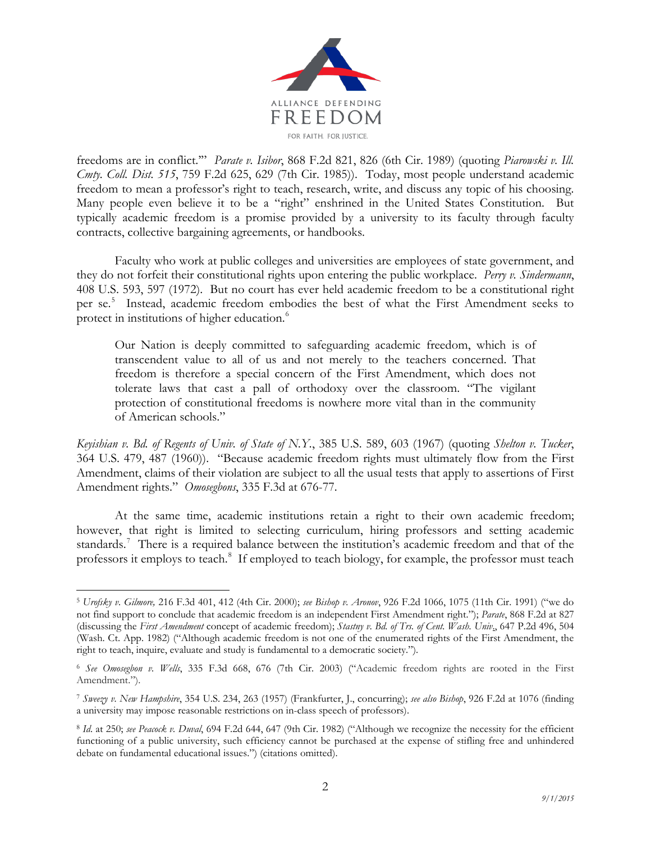

freedoms are in conflict.'" *Parate v. Isibor*, 868 F.2d 821, 826 (6th Cir. 1989) (quoting *Piarowski v. Ill. Cmty. Coll. Dist. 515*, 759 F.2d 625, 629 (7th Cir. 1985)). Today, most people understand academic freedom to mean a professor's right to teach, research, write, and discuss any topic of his choosing. Many people even believe it to be a "right" enshrined in the United States Constitution. But typically academic freedom is a promise provided by a university to its faculty through faculty contracts, collective bargaining agreements, or handbooks.

Faculty who work at public colleges and universities are employees of state government, and they do not forfeit their constitutional rights upon entering the public workplace. *Perry v. Sindermann*, 408 U.S. 593, 597 (1972). But no court has ever held academic freedom to be a constitutional right per se. [5](#page-1-0) Instead, academic freedom embodies the best of what the First Amendment seeks to protect in institutions of higher education.<sup>[6](#page-1-1)</sup>

Our Nation is deeply committed to safeguarding academic freedom, which is of transcendent value to all of us and not merely to the teachers concerned. That freedom is therefore a special concern of the First Amendment, which does not tolerate laws that cast a pall of orthodoxy over the classroom. "The vigilant protection of constitutional freedoms is nowhere more vital than in the community of American schools."

*Keyishian v. Bd. of Regents of Univ. of State of N.Y.*, 385 U.S. 589, 603 (1967) (quoting *Shelton v. Tucker*, 364 U.S. 479, 487 (1960)). "Because academic freedom rights must ultimately flow from the First Amendment, claims of their violation are subject to all the usual tests that apply to assertions of First Amendment rights." *Omosegbons*, 335 F.3d at 676-77.

At the same time, academic institutions retain a right to their own academic freedom; however, that right is limited to selecting curriculum, hiring professors and setting academic standards.<sup>[7](#page-1-2)</sup> There is a required balance between the institution's academic freedom and that of the professors it employs to teach.<sup>[8](#page-1-3)</sup> If employed to teach biology, for example, the professor must teach

<span id="page-1-0"></span> <sup>5</sup> *Urofsky v. Gilmore,* 216 F.3d 401, 412 (4th Cir. 2000); *see Bishop v. Aronov*, 926 F.2d 1066, 1075 (11th Cir. 1991) ("we do not find support to conclude that academic freedom is an independent First Amendment right."); *Parate*, 868 F.2d at 827 (discussing the *First Amendment* concept of academic freedom); *Stastny v. Bd. of Trs. of Cent. Wash. Univ*., 647 P.2d 496, 504 (Wash. Ct. App. 1982) ("Although academic freedom is not one of the enumerated rights of the First Amendment, the right to teach, inquire, evaluate and study is fundamental to a democratic society.").

<span id="page-1-1"></span><sup>6</sup> *See Omosegbon v. Wells*, 335 F.3d 668, 676 (7th Cir. 2003) ("Academic freedom rights are rooted in the First Amendment.").

<span id="page-1-2"></span><sup>7</sup> *Sweezy v. New Hampshire*, 354 U.S. 234, 263 (1957) (Frankfurter, J., concurring); *see also Bishop*, 926 F.2d at 1076 (finding a university may impose reasonable restrictions on in-class speech of professors).

<span id="page-1-3"></span><sup>8</sup> *Id*. at 250; *see Peacock v. Duval*, 694 F.2d 644, 647 (9th Cir. 1982) ("Although we recognize the necessity for the efficient functioning of a public university, such efficiency cannot be purchased at the expense of stifling free and unhindered debate on fundamental educational issues.") (citations omitted).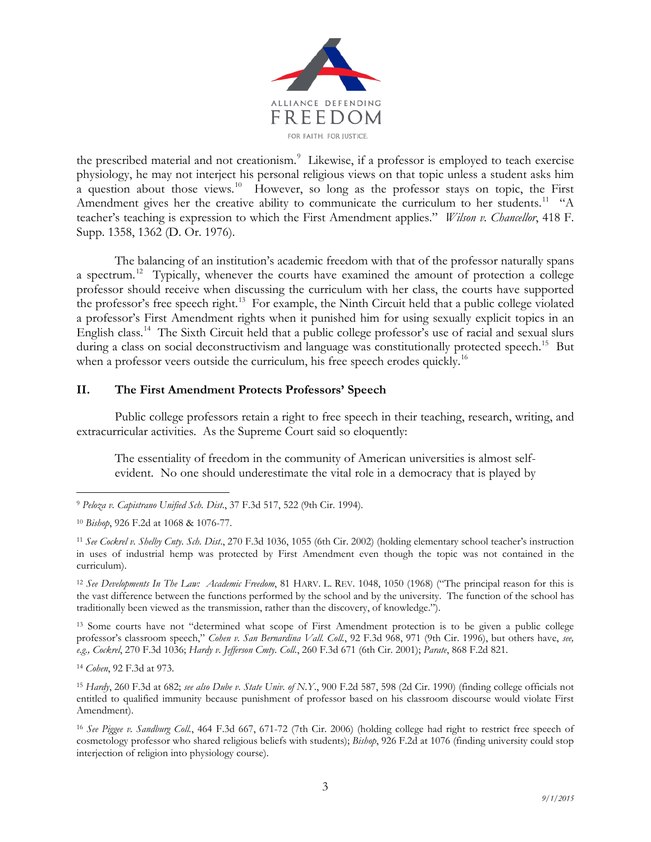

the prescribed material and not creationism.<sup>[9](#page-2-0)</sup> Likewise, if a professor is employed to teach exercise physiology, he may not interject his personal religious views on that topic unless a student asks him a question about those views.[10](#page-2-1) However, so long as the professor stays on topic, the First Amendment gives her the creative ability to communicate the curriculum to her students.<sup>11</sup> "A teacher's teaching is expression to which the First Amendment applies." *Wilson v. Chancellor*, 418 F. Supp. 1358, 1362 (D. Or. 1976).

The balancing of an institution's academic freedom with that of the professor naturally spans a spectrum.<sup>[12](#page-2-3)</sup> Typically, whenever the courts have examined the amount of protection a college professor should receive when discussing the curriculum with her class, the courts have supported the professor's free speech right.<sup>13</sup> For example, the Ninth Circuit held that a public college violated a professor's First Amendment rights when it punished him for using sexually explicit topics in an English class.<sup>14</sup> The Sixth Circuit held that a public college professor's use of racial and sexual slurs during a class on social deconstructivism and language was constitutionally protected speech.<sup>[15](#page-2-6)</sup> But when a professor veers outside the curriculum, his free speech erodes quickly.<sup>[16](#page-2-7)</sup>

### **II. The First Amendment Protects Professors' Speech**

Public college professors retain a right to free speech in their teaching, research, writing, and extracurricular activities. As the Supreme Court said so eloquently:

The essentiality of freedom in the community of American universities is almost selfevident. No one should underestimate the vital role in a democracy that is played by

<span id="page-2-4"></span><sup>13</sup> Some courts have not "determined what scope of First Amendment protection is to be given a public college professor's classroom speech," *Cohen v. San Bernardina Vall. Coll.*, 92 F.3d 968, 971 (9th Cir. 1996), but others have, *see, e.g., Cockrel*, 270 F.3d 1036; *Hardy v. Jefferson Cmty. Coll.*, 260 F.3d 671 (6th Cir. 2001); *Parate*, 868 F.2d 821.

<span id="page-2-5"></span><sup>14</sup> *Cohen*, 92 F.3d at 973.

<span id="page-2-0"></span> <sup>9</sup> *Peloza v. Capistrano Unified Sch. Dist*., 37 F.3d 517, 522 (9th Cir. 1994).

<span id="page-2-1"></span><sup>10</sup> *Bishop*, 926 F.2d at 1068 & 1076-77.

<span id="page-2-2"></span><sup>11</sup> *See Cockrel v. Shelby Cnty. Sch. Dist*., 270 F.3d 1036, 1055 (6th Cir. 2002) (holding elementary school teacher's instruction in uses of industrial hemp was protected by First Amendment even though the topic was not contained in the curriculum).

<span id="page-2-3"></span><sup>12</sup> *See Developments In The Law: Academic Freedom*, 81 HARV. L. REV. 1048, 1050 (1968) ("The principal reason for this is the vast difference between the functions performed by the school and by the university. The function of the school has traditionally been viewed as the transmission, rather than the discovery, of knowledge.").

<span id="page-2-6"></span><sup>15</sup> *Hardy*, 260 F.3d at 682; *see also Dube v. State Univ. of N.Y*., 900 F.2d 587, 598 (2d Cir. 1990) (finding college officials not entitled to qualified immunity because punishment of professor based on his classroom discourse would violate First Amendment).

<span id="page-2-7"></span><sup>16</sup> *See Piggee v. Sandburg Coll.*, 464 F.3d 667, 671-72 (7th Cir. 2006) (holding college had right to restrict free speech of cosmetology professor who shared religious beliefs with students); *Bishop*, 926 F.2d at 1076 (finding university could stop interjection of religion into physiology course).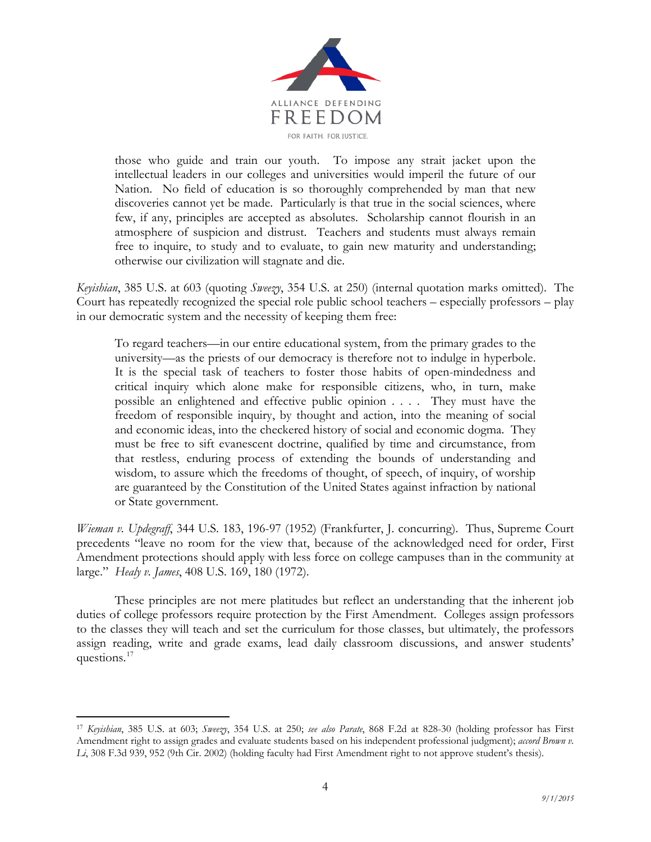

those who guide and train our youth. To impose any strait jacket upon the intellectual leaders in our colleges and universities would imperil the future of our Nation. No field of education is so thoroughly comprehended by man that new discoveries cannot yet be made. Particularly is that true in the social sciences, where few, if any, principles are accepted as absolutes. Scholarship cannot flourish in an atmosphere of suspicion and distrust. Teachers and students must always remain free to inquire, to study and to evaluate, to gain new maturity and understanding; otherwise our civilization will stagnate and die.

*Keyishian*, 385 U.S. at 603 (quoting *Sweezy*, 354 U.S. at 250) (internal quotation marks omitted). The Court has repeatedly recognized the special role public school teachers – especially professors – play in our democratic system and the necessity of keeping them free:

To regard teachers—in our entire educational system, from the primary grades to the university—as the priests of our democracy is therefore not to indulge in hyperbole. It is the special task of teachers to foster those habits of open-mindedness and critical inquiry which alone make for responsible citizens, who, in turn, make possible an enlightened and effective public opinion . . . . They must have the freedom of responsible inquiry, by thought and action, into the meaning of social and economic ideas, into the checkered history of social and economic dogma. They must be free to sift evanescent doctrine, qualified by time and circumstance, from that restless, enduring process of extending the bounds of understanding and wisdom, to assure which the freedoms of thought, of speech, of inquiry, of worship are guaranteed by the Constitution of the United States against infraction by national or State government.

*Wieman v. Updegraff*, 344 U.S. 183, 196-97 (1952) (Frankfurter, J. concurring). Thus, Supreme Court precedents "leave no room for the view that, because of the acknowledged need for order, First Amendment protections should apply with less force on college campuses than in the community at large." *Healy v. James*, 408 U.S. 169, 180 (1972).

These principles are not mere platitudes but reflect an understanding that the inherent job duties of college professors require protection by the First Amendment. Colleges assign professors to the classes they will teach and set the curriculum for those classes, but ultimately, the professors assign reading, write and grade exams, lead daily classroom discussions, and answer students' questions.<sup>17</sup>

<span id="page-3-0"></span> <sup>17</sup> *Keyishian*, 385 U.S. at 603; *Sweezy*, 354 U.S. at 250; *see also Parate*, 868 F.2d at 828-30 (holding professor has First Amendment right to assign grades and evaluate students based on his independent professional judgment); *accord Brown v. Li*, 308 F.3d 939, 952 (9th Cir. 2002) (holding faculty had First Amendment right to not approve student's thesis).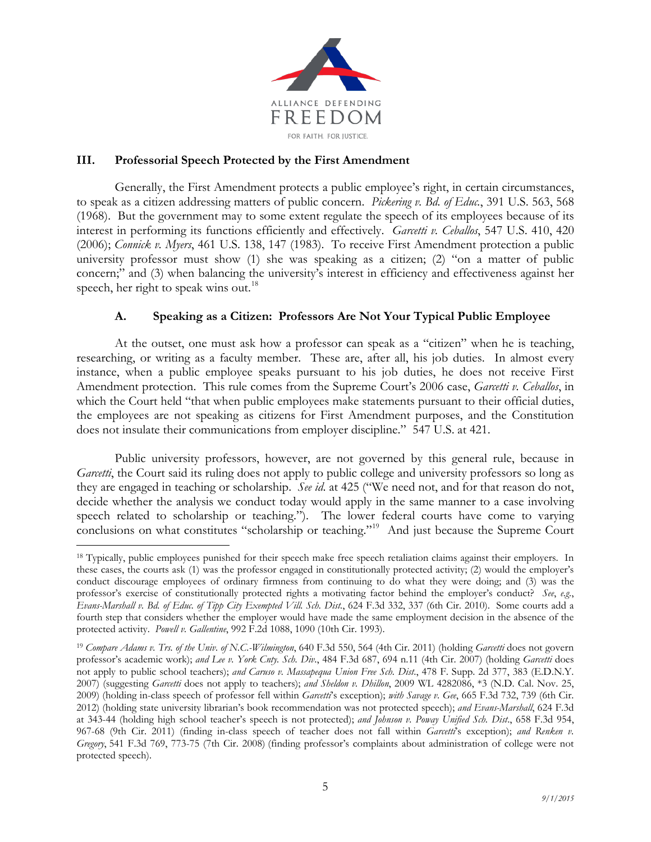

### **III. Professorial Speech Protected by the First Amendment**

Generally, the First Amendment protects a public employee's right, in certain circumstances, to speak as a citizen addressing matters of public concern. *Pickering v. Bd. of Educ.*, 391 U.S. 563, 568 (1968). But the government may to some extent regulate the speech of its employees because of its interest in performing its functions efficiently and effectively. *Garcetti v. Ceballos*, 547 U.S. 410, 420 (2006); *Connick v. Myers*, 461 U.S. 138, 147 (1983). To receive First Amendment protection a public university professor must show (1) she was speaking as a citizen; (2) "on a matter of public concern;" and (3) when balancing the university's interest in efficiency and effectiveness against her speech, her right to speak wins out.<sup>[18](#page-4-0)</sup>

# **A. Speaking as a Citizen: Professors Are Not Your Typical Public Employee**

At the outset, one must ask how a professor can speak as a "citizen" when he is teaching, researching, or writing as a faculty member. These are, after all, his job duties. In almost every instance, when a public employee speaks pursuant to his job duties, he does not receive First Amendment protection. This rule comes from the Supreme Court's 2006 case, *Garcetti v. Ceballos*, in which the Court held "that when public employees make statements pursuant to their official duties, the employees are not speaking as citizens for First Amendment purposes, and the Constitution does not insulate their communications from employer discipline." 547 U.S. at 421.

Public university professors, however, are not governed by this general rule, because in *Garcetti*, the Court said its ruling does not apply to public college and university professors so long as they are engaged in teaching or scholarship. *See id*. at 425 ("We need not, and for that reason do not, decide whether the analysis we conduct today would apply in the same manner to a case involving speech related to scholarship or teaching."). The lower federal courts have come to varying conclusions on what constitutes "scholarship or teaching."<sup>[19](#page-4-1)</sup> And just because the Supreme Court

<span id="page-4-0"></span><sup>&</sup>lt;sup>18</sup> Typically, public employees punished for their speech make free speech retaliation claims against their employers. In these cases, the courts ask (1) was the professor engaged in constitutionally protected activity; (2) would the employer's conduct discourage employees of ordinary firmness from continuing to do what they were doing; and (3) was the professor's exercise of constitutionally protected rights a motivating factor behind the employer's conduct? *See*, *e.g.*, *Evans-Marshall v. Bd. of Educ. of Tipp City Exempted Vill. Sch. Dist.*, 624 F.3d 332, 337 (6th Cir. 2010). Some courts add a fourth step that considers whether the employer would have made the same employment decision in the absence of the protected activity. *Powell v. Gallentine*, 992 F.2d 1088, 1090 (10th Cir. 1993).

<span id="page-4-1"></span><sup>19</sup> *Compare Adams v. Trs. of the Univ. of N.C.-Wilmington*, 640 F.3d 550, 564 (4th Cir. 2011) (holding *Garcetti* does not govern professor's academic work); *and Lee v. York Cnty. Sch. Div*., 484 F.3d 687, 694 n.11 (4th Cir. 2007) (holding *Garcetti* does not apply to public school teachers); *and Caruso v. Massapequa Union Free Sch. Dist*., 478 F. Supp. 2d 377, 383 (E.D.N.Y. 2007) (suggesting *Garcetti* does not apply to teachers); *and Sheldon v. Dhillon*, 2009 WL 4282086, \*3 (N.D. Cal. Nov. 25, 2009) (holding in-class speech of professor fell within *Garcetti*'s exception); *with Savage v. Gee*, 665 F.3d 732, 739 (6th Cir. 2012) (holding state university librarian's book recommendation was not protected speech); *and Evans-Marshall*, 624 F.3d at 343-44 (holding high school teacher's speech is not protected); *and Johnson v. Poway Unified Sch. Dist*., 658 F.3d 954, 967-68 (9th Cir. 2011) (finding in-class speech of teacher does not fall within *Garcetti*'s exception); *and Renken v. Gregory*, 541 F.3d 769, 773-75 (7th Cir. 2008) (finding professor's complaints about administration of college were not protected speech).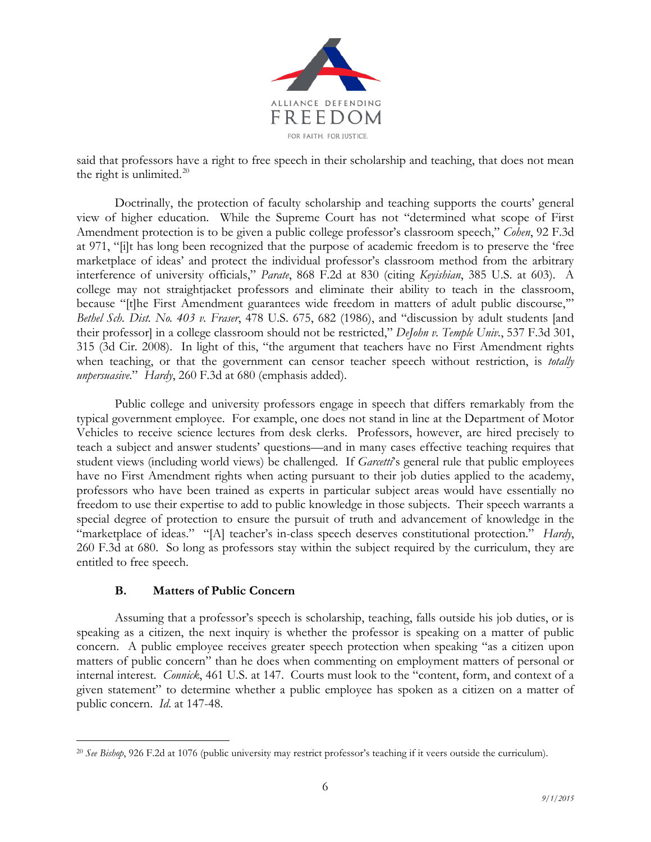

said that professors have a right to free speech in their scholarship and teaching, that does not mean the right is unlimited. $20$ 

Doctrinally, the protection of faculty scholarship and teaching supports the courts' general view of higher education. While the Supreme Court has not "determined what scope of First Amendment protection is to be given a public college professor's classroom speech," *Cohen*, 92 F.3d at 971, "[i]t has long been recognized that the purpose of academic freedom is to preserve the 'free marketplace of ideas' and protect the individual professor's classroom method from the arbitrary interference of university officials," *Parate*, 868 F.2d at 830 (citing *Keyishian*, 385 U.S. at 603). A college may not straightjacket professors and eliminate their ability to teach in the classroom, because "[t]he First Amendment guarantees wide freedom in matters of adult public discourse,"" *Bethel Sch. Dist. No. 403 v. Fraser*, 478 U.S. 675, 682 (1986), and "discussion by adult students [and their professor] in a college classroom should not be restricted," *DeJohn v. Temple Univ.*, 537 F.3d 301, 315 (3d Cir. 2008). In light of this, "the argument that teachers have no First Amendment rights when teaching, or that the government can censor teacher speech without restriction, is *totally unpersuasive*." *Hardy*, 260 F.3d at 680 (emphasis added).

Public college and university professors engage in speech that differs remarkably from the typical government employee. For example, one does not stand in line at the Department of Motor Vehicles to receive science lectures from desk clerks. Professors, however, are hired precisely to teach a subject and answer students' questions—and in many cases effective teaching requires that student views (including world views) be challenged. If *Garcetti*'s general rule that public employees have no First Amendment rights when acting pursuant to their job duties applied to the academy, professors who have been trained as experts in particular subject areas would have essentially no freedom to use their expertise to add to public knowledge in those subjects. Their speech warrants a special degree of protection to ensure the pursuit of truth and advancement of knowledge in the "marketplace of ideas." "[A] teacher's in-class speech deserves constitutional protection." *Hardy*, 260 F.3d at 680. So long as professors stay within the subject required by the curriculum, they are entitled to free speech.

### **B. Matters of Public Concern**

Assuming that a professor's speech is scholarship, teaching, falls outside his job duties, or is speaking as a citizen, the next inquiry is whether the professor is speaking on a matter of public concern. A public employee receives greater speech protection when speaking "as a citizen upon matters of public concern" than he does when commenting on employment matters of personal or internal interest. *Connick*, 461 U.S. at 147. Courts must look to the "content, form, and context of a given statement" to determine whether a public employee has spoken as a citizen on a matter of public concern. *Id*. at 147-48.

<span id="page-5-0"></span> <sup>20</sup> *See Bishop*, 926 F.2d at 1076 (public university may restrict professor's teaching if it veers outside the curriculum).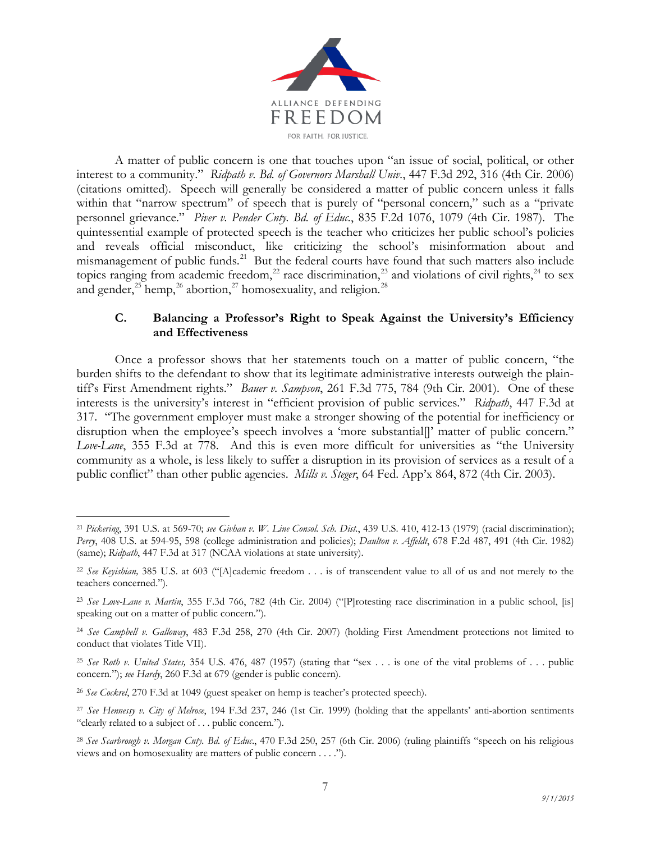

A matter of public concern is one that touches upon "an issue of social, political, or other interest to a community." *Ridpath v. Bd. of Governors Marshall Univ.*, 447 F.3d 292, 316 (4th Cir. 2006) (citations omitted). Speech will generally be considered a matter of public concern unless it falls within that "narrow spectrum" of speech that is purely of "personal concern," such as a "private personnel grievance." *Piver v. Pender Cnty. Bd. of Educ.*, 835 F.2d 1076, 1079 (4th Cir. 1987). The quintessential example of protected speech is the teacher who criticizes her public school's policies and reveals official misconduct, like criticizing the school's misinformation about and mismanagement of public funds.<sup>[21](#page-6-0)</sup> But the federal courts have found that such matters also include topics ranging from academic freedom,<sup>[22](#page-6-1)</sup> race discrimination,<sup>[23](#page-6-2)</sup> and violations of civil rights,<sup>[24](#page-6-3)</sup> to sex and gender,<sup>[25](#page-6-4)</sup> hemp,<sup>[26](#page-6-5)</sup> abortion,<sup>[27](#page-6-6)</sup> homosexuality, and religion.<sup>[28](#page-6-7)</sup>

# **C. Balancing a Professor's Right to Speak Against the University's Efficiency and Effectiveness**

Once a professor shows that her statements touch on a matter of public concern, "the burden shifts to the defendant to show that its legitimate administrative interests outweigh the plaintiff's First Amendment rights." *Bauer v. Sampson*, 261 F.3d 775, 784 (9th Cir. 2001). One of these interests is the university's interest in "efficient provision of public services." *Ridpath*, 447 F.3d at 317. "The government employer must make a stronger showing of the potential for inefficiency or disruption when the employee's speech involves a 'more substantial[]' matter of public concern." *Love-Lane*, 355 F.3d at 778. And this is even more difficult for universities as "the University community as a whole, is less likely to suffer a disruption in its provision of services as a result of a public conflict" than other public agencies. *Mills v. Steger*, 64 Fed. App'x 864, 872 (4th Cir. 2003).

<span id="page-6-0"></span> <sup>21</sup> *Pickering*, 391 U.S. at 569-70; *see Givhan v. W. Line Consol. Sch. Dist.*, 439 U.S. 410, 412-13 (1979) (racial discrimination); *Perry*, 408 U.S. at 594-95, 598 (college administration and policies); *Daulton v. Affeldt*, 678 F.2d 487, 491 (4th Cir. 1982) (same); *Ridpath*, 447 F.3d at 317 (NCAA violations at state university).

<span id="page-6-1"></span><sup>22</sup> *See Keyishian,* 385 U.S. at 603 ("[A]cademic freedom . . . is of transcendent value to all of us and not merely to the teachers concerned.").

<span id="page-6-2"></span><sup>23</sup> *See Love-Lane v. Martin*, 355 F.3d 766, 782 (4th Cir. 2004) ("[P]rotesting race discrimination in a public school, [is] speaking out on a matter of public concern.").

<span id="page-6-3"></span><sup>24</sup> *See Campbell v. Galloway*, 483 F.3d 258, 270 (4th Cir. 2007) (holding First Amendment protections not limited to conduct that violates Title VII).

<span id="page-6-4"></span><sup>25</sup> *See Roth v. United States,* 354 U.S. 476, 487 (1957) (stating that "sex . . . is one of the vital problems of . . . public concern."); *see Hardy*, 260 F.3d at 679 (gender is public concern).

<span id="page-6-5"></span><sup>26</sup> *See Cockrel*, 270 F.3d at 1049 (guest speaker on hemp is teacher's protected speech).

<span id="page-6-6"></span><sup>27</sup> *See Hennessy v. City of Melrose*, 194 F.3d 237, 246 (1st Cir. 1999) (holding that the appellants' anti-abortion sentiments "clearly related to a subject of . . . public concern.").

<span id="page-6-7"></span><sup>28</sup> *See Scarbrough v. Morgan Cnty. Bd. of Educ*., 470 F.3d 250, 257 (6th Cir. 2006) (ruling plaintiffs "speech on his religious views and on homosexuality are matters of public concern . . . .").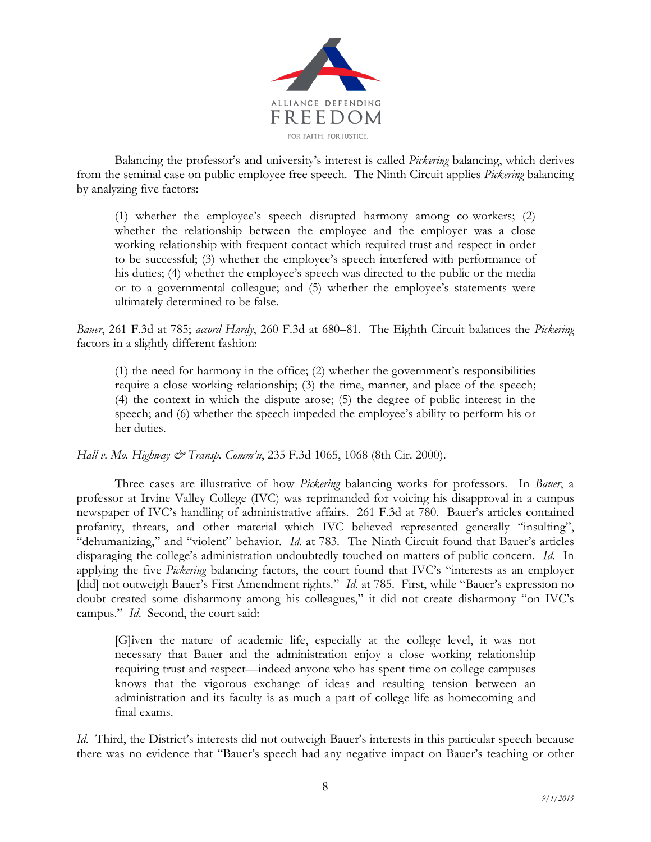

Balancing the professor's and university's interest is called *Pickering* balancing, which derives from the seminal case on public employee free speech. The Ninth Circuit applies *Pickering* balancing by analyzing five factors:

(1) whether the employee's speech disrupted harmony among co-workers; (2) whether the relationship between the employee and the employer was a close working relationship with frequent contact which required trust and respect in order to be successful; (3) whether the employee's speech interfered with performance of his duties; (4) whether the employee's speech was directed to the public or the media or to a governmental colleague; and (5) whether the employee's statements were ultimately determined to be false.

*Bauer*, 261 F.3d at 785; *accord Hardy*, 260 F.3d at 680–81. The Eighth Circuit balances the *Pickering* factors in a slightly different fashion:

(1) the need for harmony in the office; (2) whether the government's responsibilities require a close working relationship; (3) the time, manner, and place of the speech; (4) the context in which the dispute arose; (5) the degree of public interest in the speech; and (6) whether the speech impeded the employee's ability to perform his or her duties.

*Hall v. Mo. Highway & Transp. Comm'n*, 235 F.3d 1065, 1068 (8th Cir. 2000).

Three cases are illustrative of how *Pickering* balancing works for professors. In *Bauer*, a professor at Irvine Valley College (IVC) was reprimanded for voicing his disapproval in a campus newspaper of IVC's handling of administrative affairs. 261 F.3d at 780. Bauer's articles contained profanity, threats, and other material which IVC believed represented generally "insulting", "dehumanizing," and "violent" behavior. *Id*. at 783. The Ninth Circuit found that Bauer's articles disparaging the college's administration undoubtedly touched on matters of public concern. *Id*. In applying the five *Pickering* balancing factors, the court found that IVC's "interests as an employer [did] not outweigh Bauer's First Amendment rights." *Id.* at 785. First, while "Bauer's expression no doubt created some disharmony among his colleagues," it did not create disharmony "on IVC's campus." *Id*. Second, the court said:

[G]iven the nature of academic life, especially at the college level, it was not necessary that Bauer and the administration enjoy a close working relationship requiring trust and respect—indeed anyone who has spent time on college campuses knows that the vigorous exchange of ideas and resulting tension between an administration and its faculty is as much a part of college life as homecoming and final exams.

*Id.* Third, the District's interests did not outweigh Bauer's interests in this particular speech because there was no evidence that "Bauer's speech had any negative impact on Bauer's teaching or other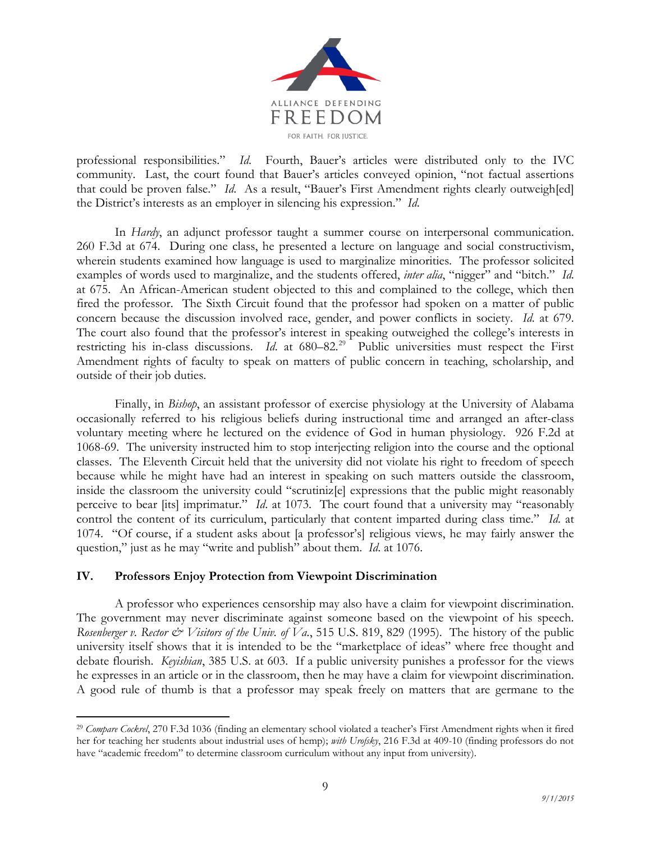

professional responsibilities." *Id*. Fourth, Bauer's articles were distributed only to the IVC community. Last, the court found that Bauer's articles conveyed opinion, "not factual assertions that could be proven false." *Id*. As a result, "Bauer's First Amendment rights clearly outweigh[ed] the District's interests as an employer in silencing his expression." *Id*.

In *Hardy*, an adjunct professor taught a summer course on interpersonal communication. 260 F.3d at 674. During one class, he presented a lecture on language and social constructivism, wherein students examined how language is used to marginalize minorities. The professor solicited examples of words used to marginalize, and the students offered, *inter alia*, "nigger" and "bitch." *Id*. at 675. An African-American student objected to this and complained to the college, which then fired the professor. The Sixth Circuit found that the professor had spoken on a matter of public concern because the discussion involved race, gender, and power conflicts in society. *Id*. at 679. The court also found that the professor's interest in speaking outweighed the college's interests in restricting his in-class discussions. *Id.* at 680–82.<sup>[29](#page-8-0)</sup> Public universities must respect the First Amendment rights of faculty to speak on matters of public concern in teaching, scholarship, and outside of their job duties.

Finally, in *Bishop*, an assistant professor of exercise physiology at the University of Alabama occasionally referred to his religious beliefs during instructional time and arranged an after-class voluntary meeting where he lectured on the evidence of God in human physiology. 926 F.2d at 1068-69. The university instructed him to stop interjecting religion into the course and the optional classes. The Eleventh Circuit held that the university did not violate his right to freedom of speech because while he might have had an interest in speaking on such matters outside the classroom, inside the classroom the university could "scrutiniz[e] expressions that the public might reasonably perceive to bear [its] imprimatur." *Id*. at 1073. The court found that a university may "reasonably control the content of its curriculum, particularly that content imparted during class time." *Id*. at 1074. "Of course, if a student asks about [a professor's] religious views, he may fairly answer the question," just as he may "write and publish" about them. *Id*. at 1076.

### **IV. Professors Enjoy Protection from Viewpoint Discrimination**

A professor who experiences censorship may also have a claim for viewpoint discrimination. The government may never discriminate against someone based on the viewpoint of his speech. *Rosenberger v. Rector*  $\mathcal O$  *Visitors of the Univ. of Va.*, 515 U.S. 819, 829 (1995). The history of the public university itself shows that it is intended to be the "marketplace of ideas" where free thought and debate flourish. *Keyishian*, 385 U.S. at 603. If a public university punishes a professor for the views he expresses in an article or in the classroom, then he may have a claim for viewpoint discrimination. A good rule of thumb is that a professor may speak freely on matters that are germane to the

<span id="page-8-0"></span> <sup>29</sup> *Compare Cockrel*, 270 F.3d 1036 (finding an elementary school violated a teacher's First Amendment rights when it fired her for teaching her students about industrial uses of hemp); *with Urofsky*, 216 F.3d at 409-10 (finding professors do not have "academic freedom" to determine classroom curriculum without any input from university).